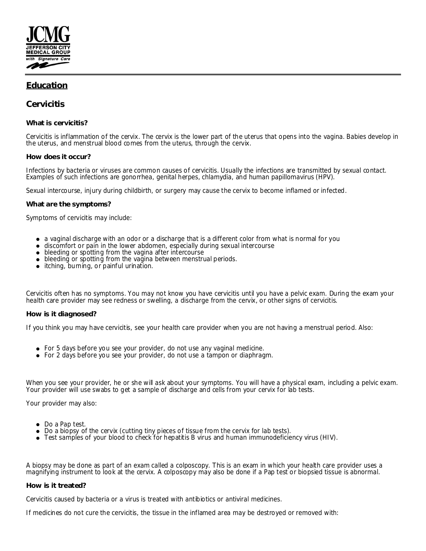

# **Education**

# **Cervicitis**

**What is cervicitis?**

Cervicitis is inflammation of the cervix. The cervix is the lower part of the uterus that opens into the vagina. Babies develop in the uterus, and menstrual blood comes from the uterus, through the cervix.

# **How does it occur?**

Infections by bacteria or viruses are common causes of cervicitis. Usually the infections are transmitted by sexual contact. Examples of such infections are gonorrhea, genital herpes, chlamydia, and human papillomavirus (HPV).

Sexual intercourse, injury during childbirth, or surgery may cause the cervix to become inflamed or infected.

## **What are the symptoms?**

Symptoms of cervicitis may include:

- a vaginal discharge with an odor or a discharge that is a different color from what is normal for you
- discomfort or pain in the lower abdomen, especially during sexual intercourse
- bleeding or spotting from the vagina after intercourse
- bleeding or spotting from the vagina between menstrual periods.
- itching, burning, or painful urination.

Cervicitis often has no symptoms. You may not know you have cervicitis until you have a pelvic exam. During the exam your health care provider may see redness or swelling, a discharge from the cervix, or other signs of cervicitis.

### **How is it diagnosed?**

If you think you may have cervicitis, see your health care provider when you are not having a menstrual period. Also:

- For 5 days before you see your provider, do not use any vaginal medicine.
- For 2 days before you see your provider, do not use a tampon or diaphragm.

When you see your provider, he or she will ask about your symptoms. You will have a physical exam, including a pelvic exam. Your provider will use swabs to get a sample of discharge and cells from your cervix for lab tests.

Your provider may also:

- Do a Pap test.
- Do a biopsy of the cervix (cutting tiny pieces of tissue from the cervix for lab tests).
- Test samples of your blood to check for hepatitis B virus and human immunodeficiency virus (HIV).

A biopsy may be done as part of an exam called a colposcopy. This is an exam in which your health care provider uses a magnifying instrument to look at the cervix. A colposcopy may also be done if a Pap test or biopsied tissue is abnormal.

### **How is it treated?**

Cervicitis caused by bacteria or a virus is treated with antibiotics or antiviral medicines.

If medicines do not cure the cervicitis, the tissue in the inflamed area may be destroyed or removed with: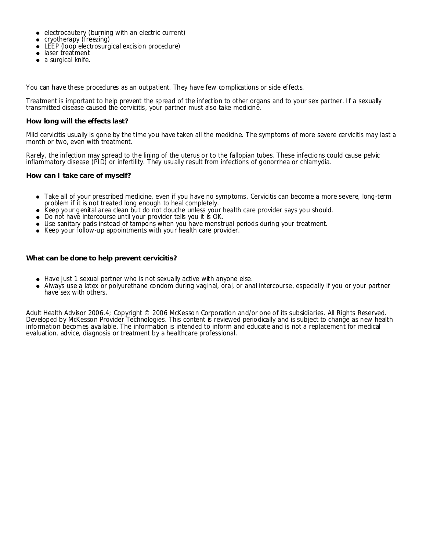- electrocautery (burning with an electric current)
- cryotherapy (freezing)
- LEEP (loop electrosurgical excision procedure)
- laser treatment
- a surgical knife.

You can have these procedures as an outpatient. They have few complications or side effects.

Treatment is important to help prevent the spread of the infection to other organs and to your sex partner. If a sexually transmitted disease caused the cervicitis, your partner must also take medicine.

### **How long will the effects last?**

Mild cervicitis usually is gone by the time you have taken all the medicine. The symptoms of more severe cervicitis may last a month or two, even with treatment.

Rarely, the infection may spread to the lining of the uterus or to the fallopian tubes. These infections could cause pelvic inflammatory disease (PID) or infertility. They usually result from infections of gonorrhea or chlamydia.

**How can I take care of myself?**

- Take all of your prescribed medicine, even if you have no symptoms. Cervicitis can become a more severe, long-term problem if it is not treated long enough to heal completely.
- Keep your genital area clean but do not douche unless your health care provider says you should.  $\bullet$
- Do not have intercourse until your provider tells you it is OK.
- Use sanitary pads instead of tampons when you have menstrual periods during your treatment.
- Keep your follow-up appointments with your health care provider.

**What can be done to help prevent cervicitis?**

- Have just 1 sexual partner who is not sexually active with anyone else.
- Always use a latex or polyurethane condom during vaginal, oral, or anal intercourse, especially if you or your partner have sex with others.

Adult Health Advisor 2006.4; Copyright © 2006 McKesson Corporation and/or one of its subsidiaries. All Rights Reserved. Developed by McKesson Provider Technologies. This content is reviewed periodically and is subject to change as new health information becomes available. The information is intended to inform and educate and is not a replacement for medical evaluation, advice, diagnosis or treatment by a healthcare professional.